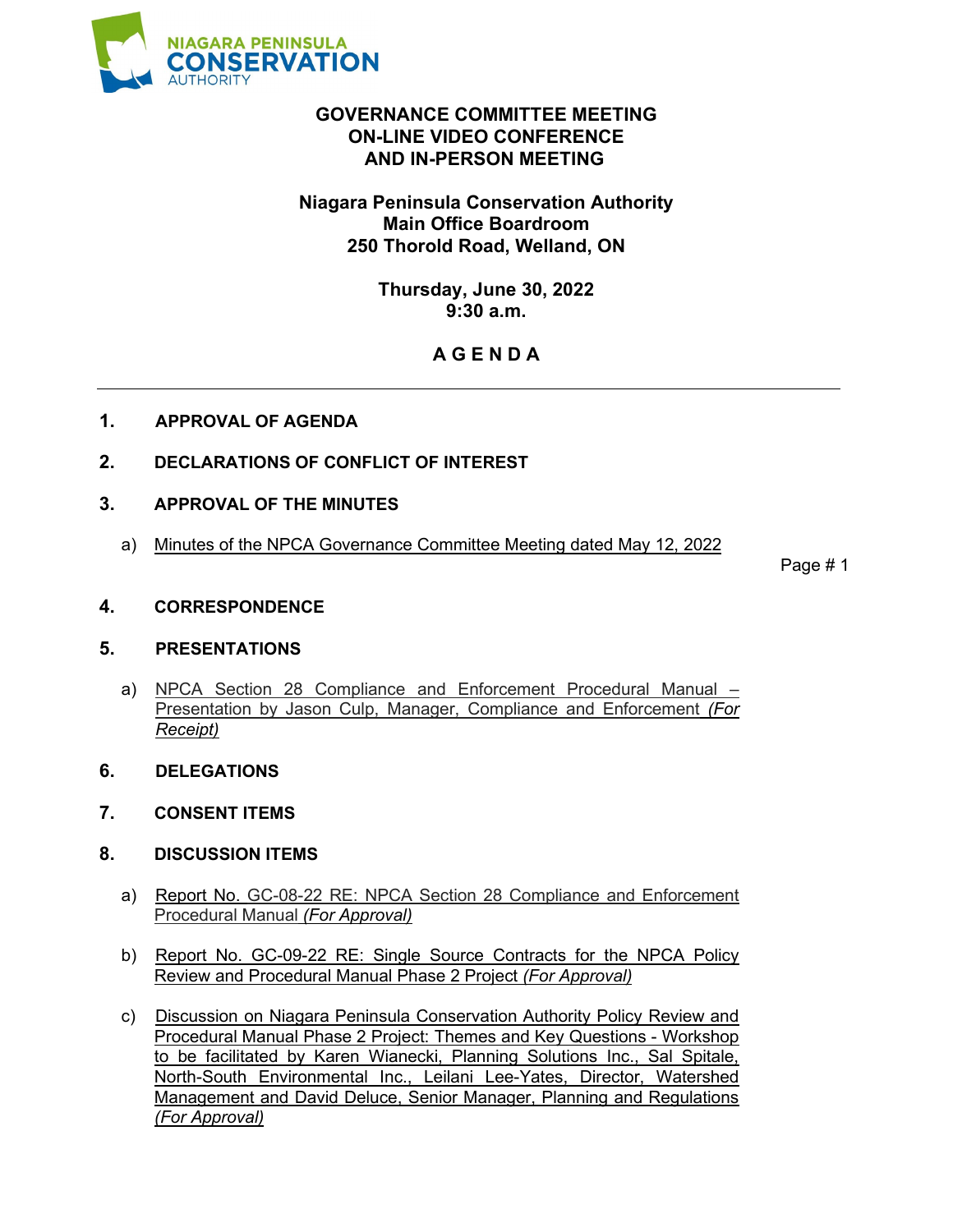

# **GOVERNANCE COMMITTEE MEETING ON-LINE VIDEO CONFERENCE AND IN-PERSON MEETING**

# **Niagara Peninsula Conservation Authority Main Office Boardroom 250 Thorold Road, Welland, ON**

**Thursday, June 30, 2022 9:30 a.m.**

# **A G E N D A**

- **1. APPROVAL OF AGENDA**
- **2. DECLARATIONS OF CONFLICT OF INTEREST**
- **3. APPROVAL OF THE MINUTES**
	- a) Minutes of the NPCA Governance Committee Meeting dated May 12, 2022

Page # 1

**4. CORRESPONDENCE**

### **5. PRESENTATIONS**

- a) NPCA Section 28 Compliance and Enforcement Procedural Manual Presentation by Jason Culp, Manager, Compliance and Enforcement *(For Receipt)*
- **6. DELEGATIONS**
- **7. CONSENT ITEMS**
- **8. DISCUSSION ITEMS**
	- a) Report No. GC-08-22 RE: NPCA Section 28 Compliance and Enforcement Procedural Manual *(For Approval)*
	- b) Report No. GC-09-22 RE: Single Source Contracts for the NPCA Policy Review and Procedural Manual Phase 2 Project *(For Approval)*
	- c) Discussion on Niagara Peninsula Conservation Authority Policy Review and Procedural Manual Phase 2 Project: Themes and Key Questions - Workshop to be facilitated by Karen Wianecki, Planning Solutions Inc., Sal Spitale, North-South Environmental Inc., Leilani Lee-Yates, Director, Watershed Management and David Deluce, Senior Manager, Planning and Regulations *(For Approval)*